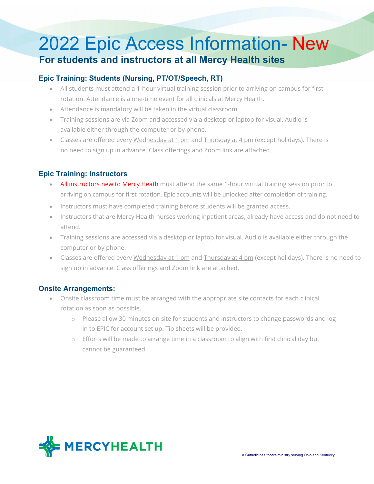# 2022 Epic Access Information- New **For students and instructors at all Mercy Health sites**

### **Epic Training: Students (Nursing, PT/OT/Speech, RT)**

- All students must attend a 1-hour virtual training session prior to arriving on campus for first rotation. Attendance is a one-time event for all clinicals at Mercy Health.
- Attendance is mandatory will be taken in the virtual classroom.
- Training sessions are via Zoom and accessed via a desktop or laptop for visual. Audio is available either through the computer or by phone.
- Classes are offered every Wednesday at 1 pm and Thursday at 4 pm (except holidays). There is no need to sign up in advance. Class offerings and Zoom link are attached.

### **Epic Training: Instructors**

- All instructors new to Mercy Heath must attend the same 1-hour virtual training session prior to arriving on campus for first rotation. Epic accounts will be unlocked after completion of training.
- Instructors must have completed training before students will be granted access.
- Instructors that are Mercy Health nurses working inpatient areas, already have access and do not need to attend.
- Training sessions are accessed via a desktop or laptop for visual. Audio is available either through the computer or by phone.
- Classes are offered every Wednesday at 1 pm and Thursday at 4 pm (except holidays). There is no need to sign up in advance. Class offerings and Zoom link are attached.

#### **Onsite Arrangements:**

- Onsite classroom time must be arranged with the appropriate site contacts for each clinical rotation as soon as possible.
	- o Please allow 30 minutes on site for students and instructors to change passwords and log in to EPIC for account set up. Tip sheets will be provided.
	- o Efforts will be made to arrange time in a classroom to align with first clinical day but cannot be guaranteed.